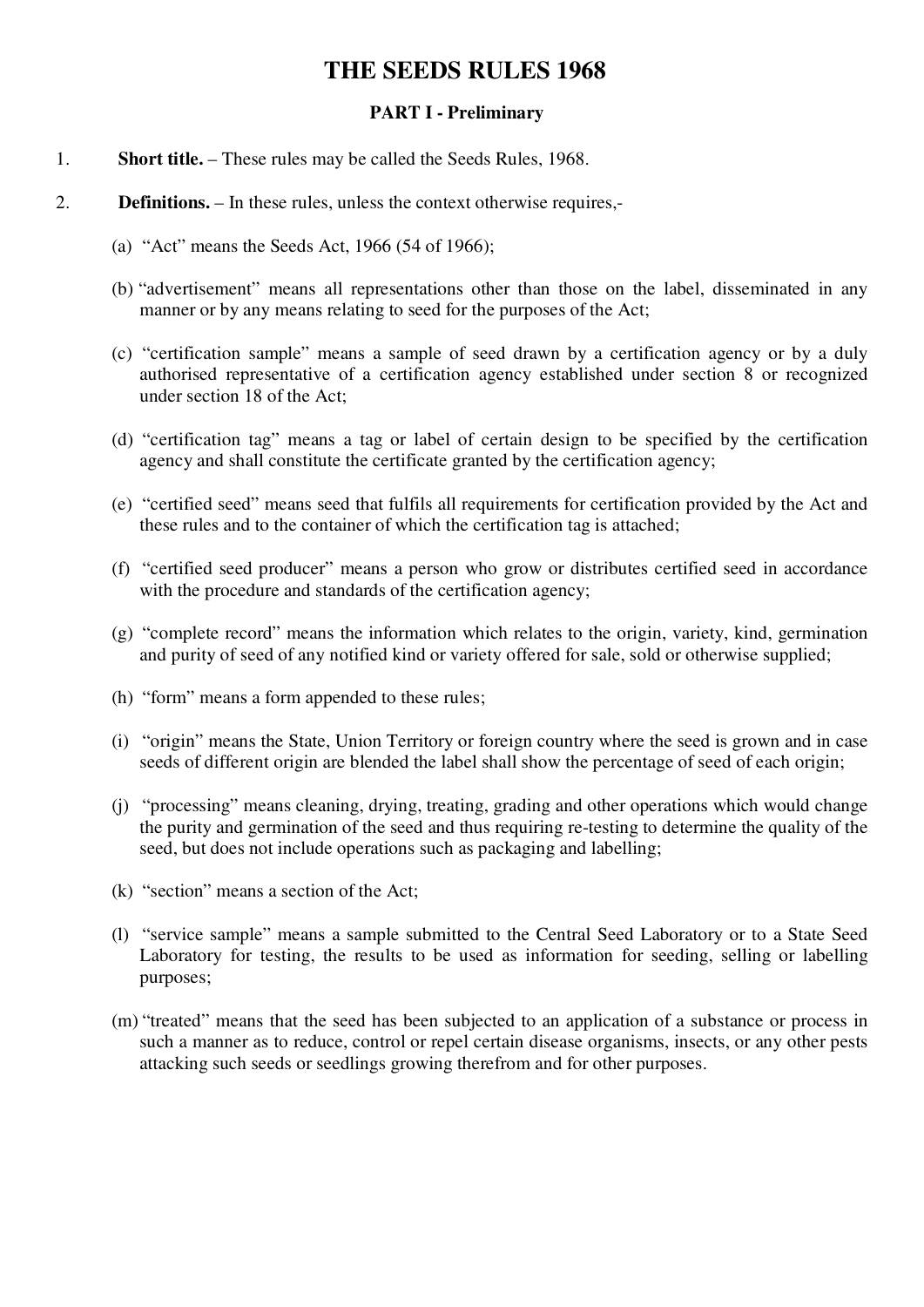### **THE SEEDS RULES 1968**

#### **PART I - Preliminary**

- 1. **Short title.** These rules may be called the Seeds Rules, 1968.
- 2. **Definitions.** In these rules, unless the context otherwise requires,-
	- (a) "Act" means the Seeds Act, 1966 (54 of 1966);
	- (b) "advertisement" means all representations other than those on the label, disseminated in any manner or by any means relating to seed for the purposes of the Act;
	- (c) "certification sample" means a sample of seed drawn by a certification agency or by a duly authorised representative of a certification agency established under section 8 or recognized under section 18 of the Act;
	- (d) "certification tag" means a tag or label of certain design to be specified by the certification agency and shall constitute the certificate granted by the certification agency;
	- (e) "certified seed" means seed that fulfils all requirements for certification provided by the Act and these rules and to the container of which the certification tag is attached;
	- (f) "certified seed producer" means a person who grow or distributes certified seed in accordance with the procedure and standards of the certification agency;
	- (g) "complete record" means the information which relates to the origin, variety, kind, germination and purity of seed of any notified kind or variety offered for sale, sold or otherwise supplied;
	- (h) "form" means a form appended to these rules;
	- (i) "origin" means the State, Union Territory or foreign country where the seed is grown and in case seeds of different origin are blended the label shall show the percentage of seed of each origin;
	- (j) "processing" means cleaning, drying, treating, grading and other operations which would change the purity and germination of the seed and thus requiring re-testing to determine the quality of the seed, but does not include operations such as packaging and labelling;
	- (k) "section" means a section of the Act;
	- (l) "service sample" means a sample submitted to the Central Seed Laboratory or to a State Seed Laboratory for testing, the results to be used as information for seeding, selling or labelling purposes;
	- (m) "treated" means that the seed has been subjected to an application of a substance or process in such a manner as to reduce, control or repel certain disease organisms, insects, or any other pests attacking such seeds or seedlings growing therefrom and for other purposes.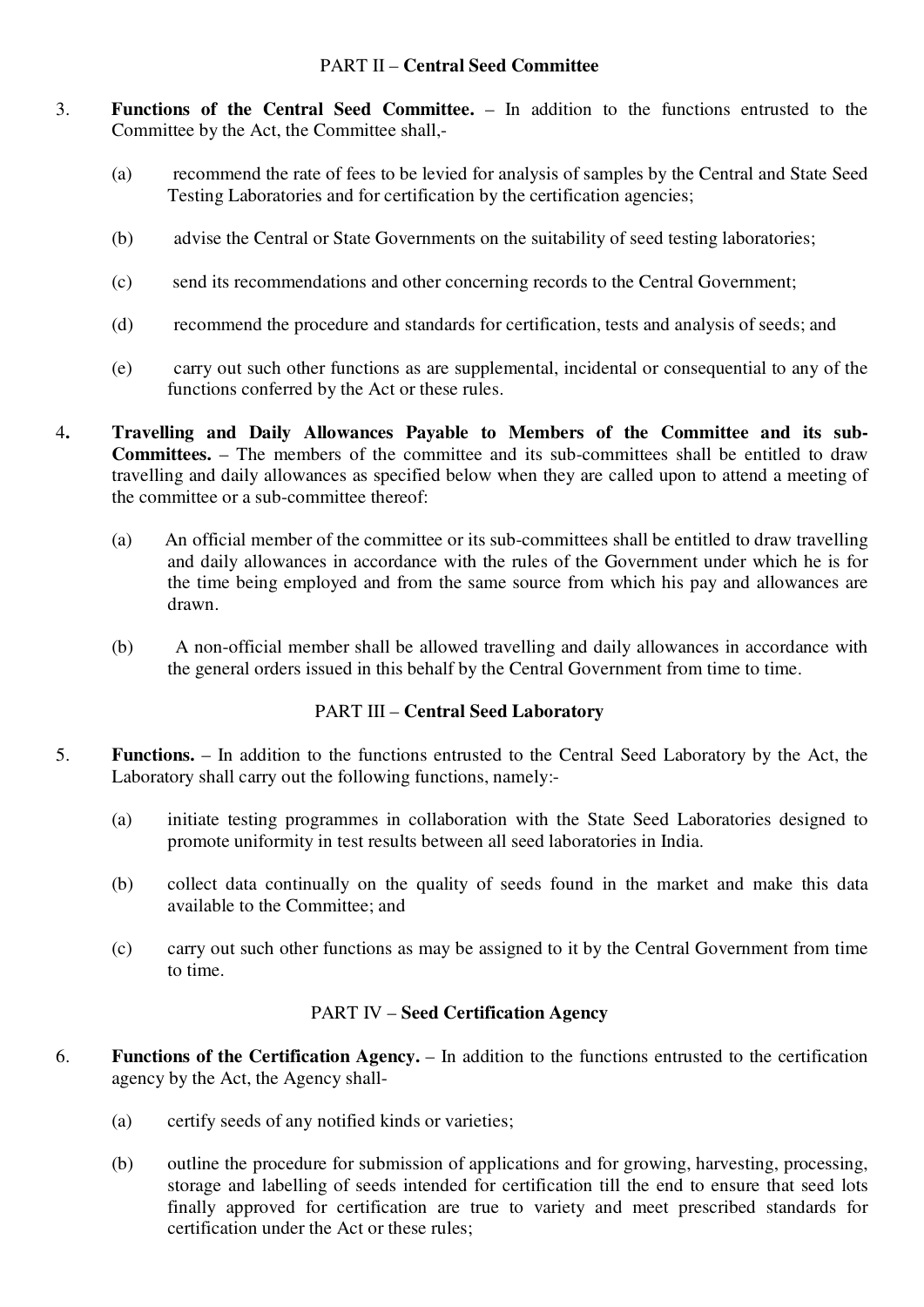#### PART II – **Central Seed Committee**

- 3. **Functions of the Central Seed Committee.** In addition to the functions entrusted to the Committee by the Act, the Committee shall,-
	- (a) recommend the rate of fees to be levied for analysis of samples by the Central and State Seed Testing Laboratories and for certification by the certification agencies;
	- (b) advise the Central or State Governments on the suitability of seed testing laboratories;
	- (c) send its recommendations and other concerning records to the Central Government;
	- (d) recommend the procedure and standards for certification, tests and analysis of seeds; and
	- (e) carry out such other functions as are supplemental, incidental or consequential to any of the functions conferred by the Act or these rules.
- 4**. Travelling and Daily Allowances Payable to Members of the Committee and its sub-Committees.** – The members of the committee and its sub-committees shall be entitled to draw travelling and daily allowances as specified below when they are called upon to attend a meeting of the committee or a sub-committee thereof:
	- (a) An official member of the committee or its sub-committees shall be entitled to draw travelling and daily allowances in accordance with the rules of the Government under which he is for the time being employed and from the same source from which his pay and allowances are drawn.
	- (b) A non-official member shall be allowed travelling and daily allowances in accordance with the general orders issued in this behalf by the Central Government from time to time.

#### PART III – **Central Seed Laboratory**

- 5. **Functions.** In addition to the functions entrusted to the Central Seed Laboratory by the Act, the Laboratory shall carry out the following functions, namely:-
	- (a) initiate testing programmes in collaboration with the State Seed Laboratories designed to promote uniformity in test results between all seed laboratories in India.
	- (b) collect data continually on the quality of seeds found in the market and make this data available to the Committee; and
	- (c) carry out such other functions as may be assigned to it by the Central Government from time to time.

#### PART IV – **Seed Certification Agency**

- 6. **Functions of the Certification Agency.** In addition to the functions entrusted to the certification agency by the Act, the Agency shall-
	- (a) certify seeds of any notified kinds or varieties;
	- (b) outline the procedure for submission of applications and for growing, harvesting, processing, storage and labelling of seeds intended for certification till the end to ensure that seed lots finally approved for certification are true to variety and meet prescribed standards for certification under the Act or these rules;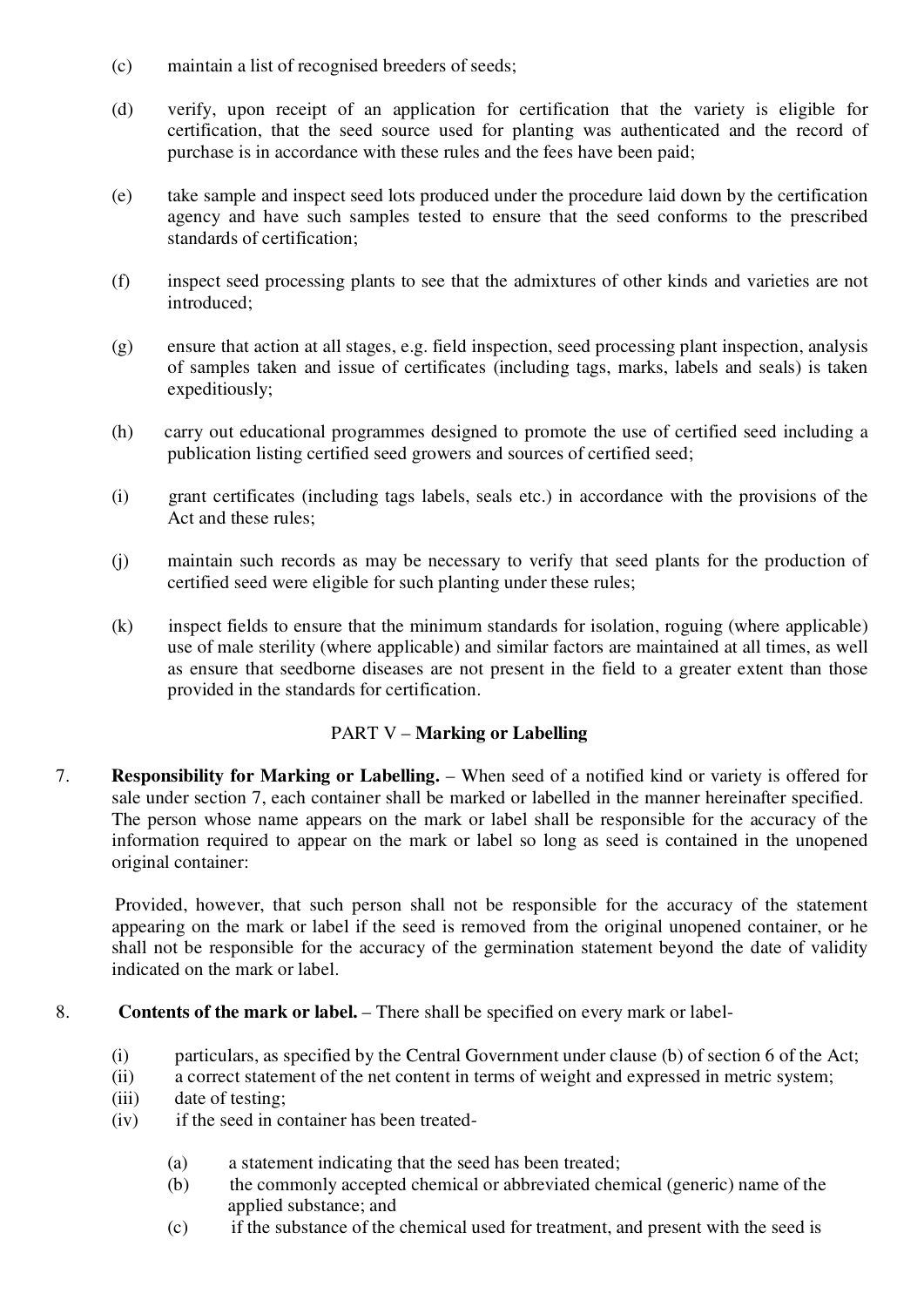- (c) maintain a list of recognised breeders of seeds;
- (d) verify, upon receipt of an application for certification that the variety is eligible for certification, that the seed source used for planting was authenticated and the record of purchase is in accordance with these rules and the fees have been paid;
- (e) take sample and inspect seed lots produced under the procedure laid down by the certification agency and have such samples tested to ensure that the seed conforms to the prescribed standards of certification;
- (f) inspect seed processing plants to see that the admixtures of other kinds and varieties are not introduced;
- (g) ensure that action at all stages, e.g. field inspection, seed processing plant inspection, analysis of samples taken and issue of certificates (including tags, marks, labels and seals) is taken expeditiously;
- (h) carry out educational programmes designed to promote the use of certified seed including a publication listing certified seed growers and sources of certified seed;
- (i) grant certificates (including tags labels, seals etc.) in accordance with the provisions of the Act and these rules;
- (j) maintain such records as may be necessary to verify that seed plants for the production of certified seed were eligible for such planting under these rules;
- (k) inspect fields to ensure that the minimum standards for isolation, roguing (where applicable) use of male sterility (where applicable) and similar factors are maintained at all times, as well as ensure that seedborne diseases are not present in the field to a greater extent than those provided in the standards for certification.

#### PART V – **Marking or Labelling**

7. **Responsibility for Marking or Labelling.** – When seed of a notified kind or variety is offered for sale under section 7, each container shall be marked or labelled in the manner hereinafter specified. The person whose name appears on the mark or label shall be responsible for the accuracy of the information required to appear on the mark or label so long as seed is contained in the unopened original container:

 Provided, however, that such person shall not be responsible for the accuracy of the statement appearing on the mark or label if the seed is removed from the original unopened container, or he shall not be responsible for the accuracy of the germination statement beyond the date of validity indicated on the mark or label.

- 8. **Contents of the mark or label.** There shall be specified on every mark or label-
	- (i) particulars, as specified by the Central Government under clause (b) of section 6 of the Act;
	- (ii) a correct statement of the net content in terms of weight and expressed in metric system;
	- (iii) date of testing;
	- (iv) if the seed in container has been treated-
		- (a) a statement indicating that the seed has been treated;
		- (b) the commonly accepted chemical or abbreviated chemical (generic) name of the applied substance; and
		- (c) if the substance of the chemical used for treatment, and present with the seed is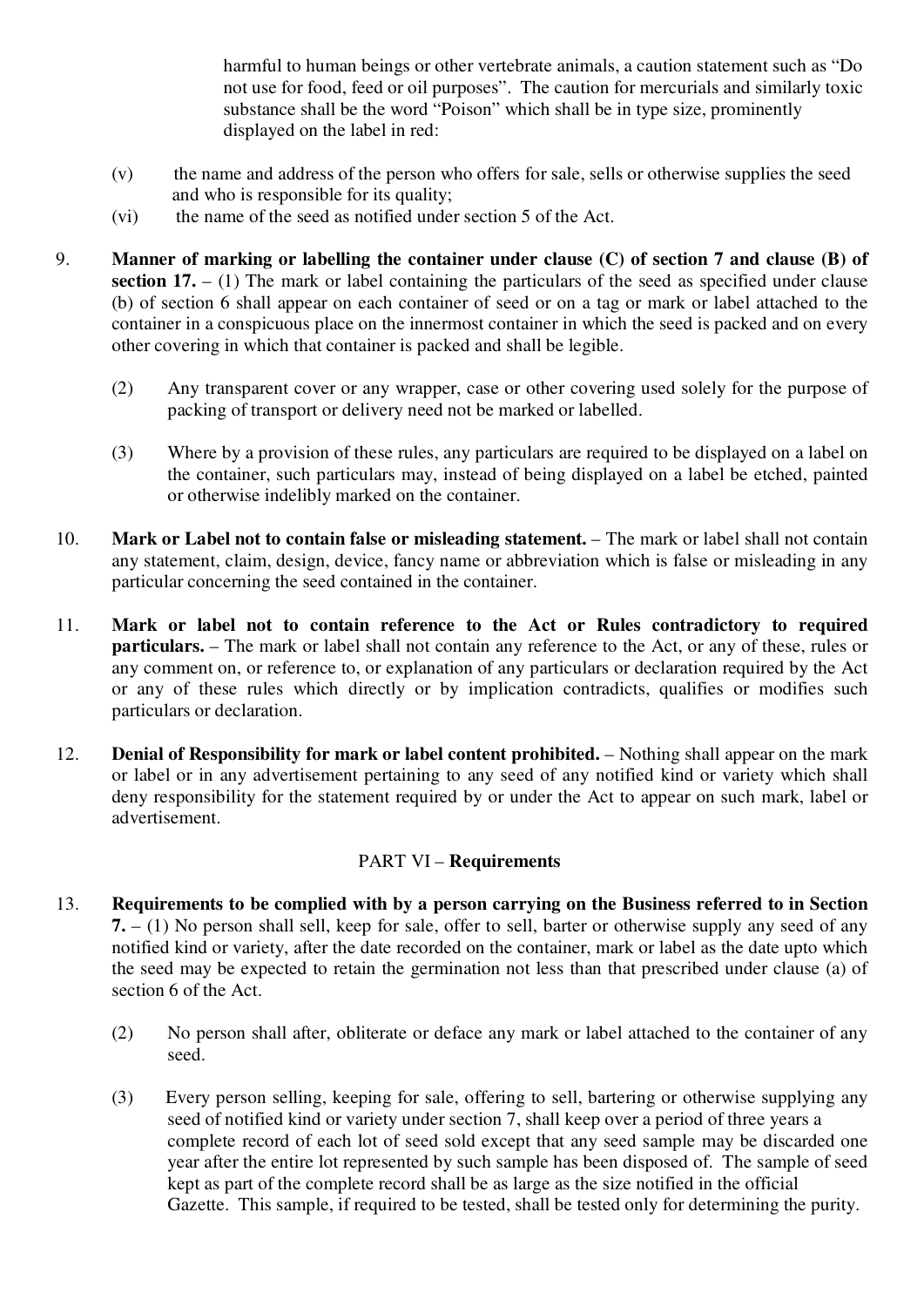harmful to human beings or other vertebrate animals, a caution statement such as "Do not use for food, feed or oil purposes". The caution for mercurials and similarly toxic substance shall be the word "Poison" which shall be in type size, prominently displayed on the label in red:

- (v) the name and address of the person who offers for sale, sells or otherwise supplies the seed and who is responsible for its quality;
- (vi) the name of the seed as notified under section 5 of the Act.
- 9. **Manner of marking or labelling the container under clause (C) of section 7 and clause (B) of section 17.** – (1) The mark or label containing the particulars of the seed as specified under clause (b) of section 6 shall appear on each container of seed or on a tag or mark or label attached to the container in a conspicuous place on the innermost container in which the seed is packed and on every other covering in which that container is packed and shall be legible.
	- (2) Any transparent cover or any wrapper, case or other covering used solely for the purpose of packing of transport or delivery need not be marked or labelled.
	- (3) Where by a provision of these rules, any particulars are required to be displayed on a label on the container, such particulars may, instead of being displayed on a label be etched, painted or otherwise indelibly marked on the container.
- 10. **Mark or Label not to contain false or misleading statement.** The mark or label shall not contain any statement, claim, design, device, fancy name or abbreviation which is false or misleading in any particular concerning the seed contained in the container.
- 11. **Mark or label not to contain reference to the Act or Rules contradictory to required particulars.** – The mark or label shall not contain any reference to the Act, or any of these, rules or any comment on, or reference to, or explanation of any particulars or declaration required by the Act or any of these rules which directly or by implication contradicts, qualifies or modifies such particulars or declaration.
- 12. **Denial of Responsibility for mark or label content prohibited.** Nothing shall appear on the mark or label or in any advertisement pertaining to any seed of any notified kind or variety which shall deny responsibility for the statement required by or under the Act to appear on such mark, label or advertisement.

#### PART VI – **Requirements**

- 13. **Requirements to be complied with by a person carrying on the Business referred to in Section 7.** – (1) No person shall sell, keep for sale, offer to sell, barter or otherwise supply any seed of any notified kind or variety, after the date recorded on the container, mark or label as the date upto which the seed may be expected to retain the germination not less than that prescribed under clause (a) of section 6 of the Act.
	- (2) No person shall after, obliterate or deface any mark or label attached to the container of any seed.
	- (3) Every person selling, keeping for sale, offering to sell, bartering or otherwise supplying any seed of notified kind or variety under section 7, shall keep over a period of three years a complete record of each lot of seed sold except that any seed sample may be discarded one year after the entire lot represented by such sample has been disposed of. The sample of seed kept as part of the complete record shall be as large as the size notified in the official Gazette. This sample, if required to be tested, shall be tested only for determining the purity.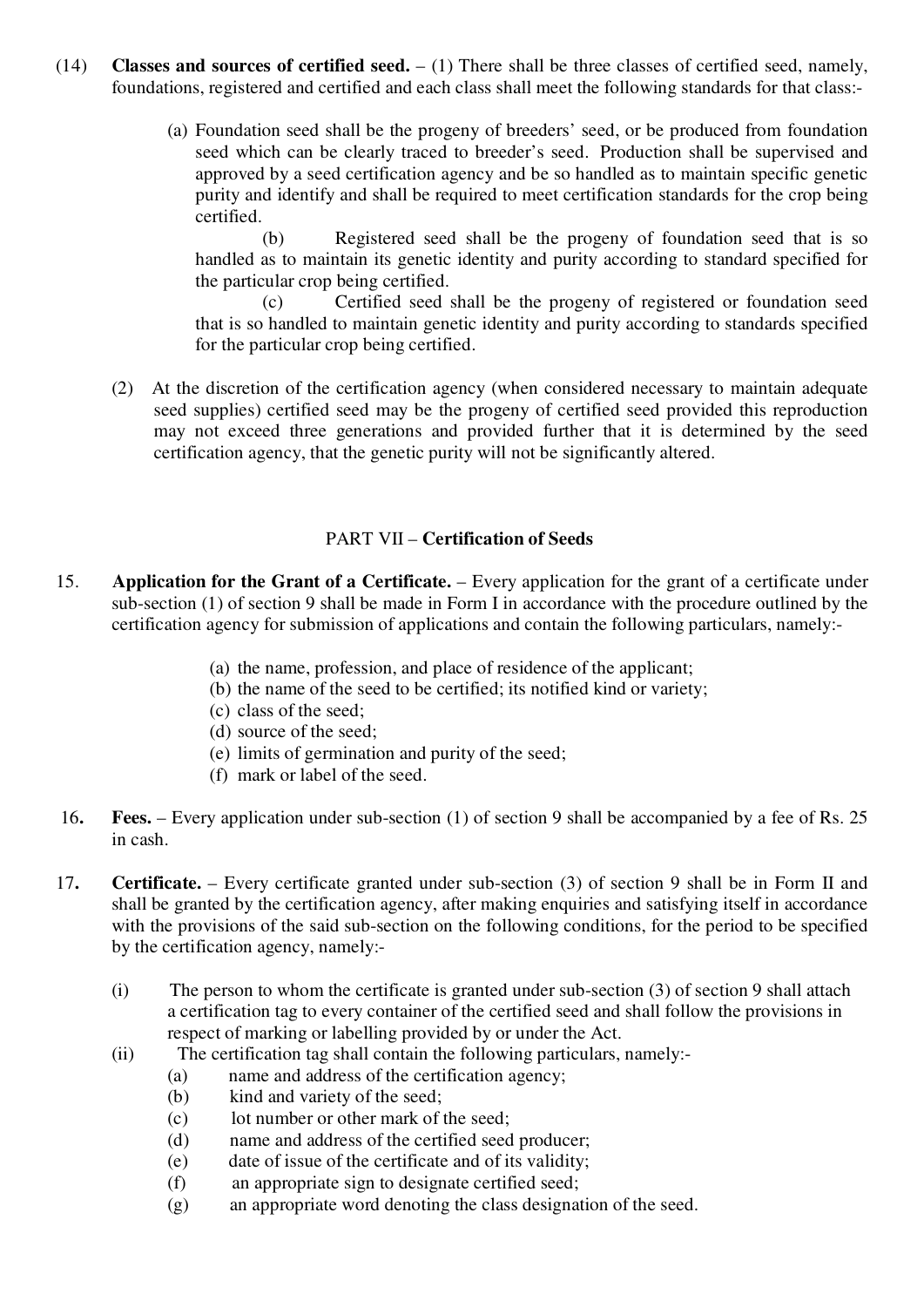- (14) **Classes and sources of certified seed.** (1) There shall be three classes of certified seed, namely, foundations, registered and certified and each class shall meet the following standards for that class:-
	- (a) Foundation seed shall be the progeny of breeders' seed, or be produced from foundation seed which can be clearly traced to breeder's seed. Production shall be supervised and approved by a seed certification agency and be so handled as to maintain specific genetic purity and identify and shall be required to meet certification standards for the crop being certified.

(b) Registered seed shall be the progeny of foundation seed that is so handled as to maintain its genetic identity and purity according to standard specified for the particular crop being certified.

(c) Certified seed shall be the progeny of registered or foundation seed that is so handled to maintain genetic identity and purity according to standards specified for the particular crop being certified.

(2) At the discretion of the certification agency (when considered necessary to maintain adequate seed supplies) certified seed may be the progeny of certified seed provided this reproduction may not exceed three generations and provided further that it is determined by the seed certification agency, that the genetic purity will not be significantly altered.

#### PART VII – **Certification of Seeds**

- 15. **Application for the Grant of a Certificate.** Every application for the grant of a certificate under sub-section (1) of section 9 shall be made in Form I in accordance with the procedure outlined by the certification agency for submission of applications and contain the following particulars, namely:-
	- (a) the name, profession, and place of residence of the applicant;
	- (b) the name of the seed to be certified; its notified kind or variety;
	- (c) class of the seed;
	- (d) source of the seed;
	- (e) limits of germination and purity of the seed;
	- (f) mark or label of the seed.
- 16**. Fees.** Every application under sub-section (1) of section 9 shall be accompanied by a fee of Rs. 25 in cash.
- 17**. Certificate.** Every certificate granted under sub-section (3) of section 9 shall be in Form II and shall be granted by the certification agency, after making enquiries and satisfying itself in accordance with the provisions of the said sub-section on the following conditions, for the period to be specified by the certification agency, namely:-
	- (i) The person to whom the certificate is granted under sub-section (3) of section 9 shall attach a certification tag to every container of the certified seed and shall follow the provisions in respect of marking or labelling provided by or under the Act.
	- (ii) The certification tag shall contain the following particulars, namely:-
		- (a) name and address of the certification agency;
		- (b) kind and variety of the seed;
		- (c) lot number or other mark of the seed;
		- (d) name and address of the certified seed producer;
		- (e) date of issue of the certificate and of its validity;
		- (f) an appropriate sign to designate certified seed;
		- (g) an appropriate word denoting the class designation of the seed.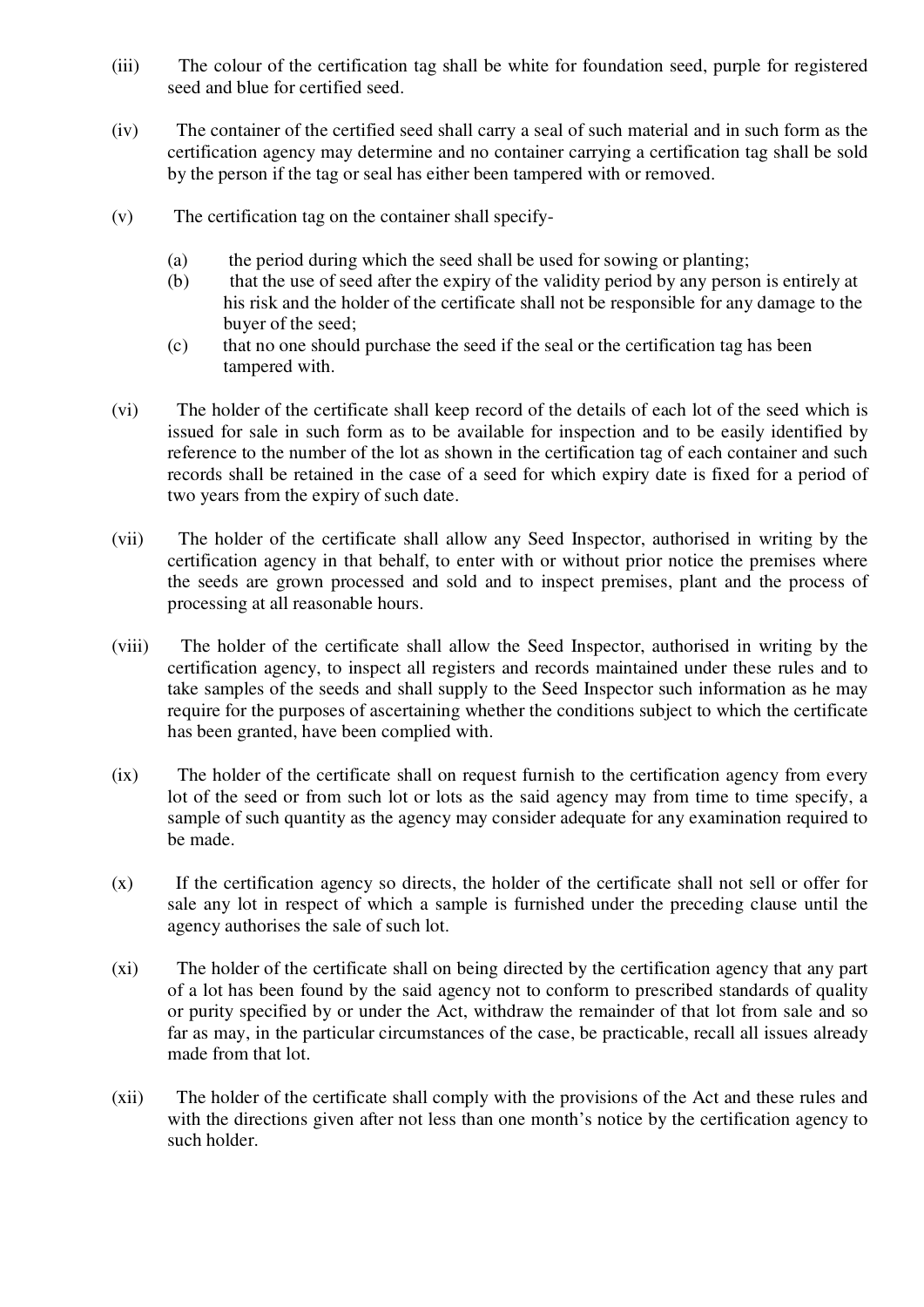- (iii) The colour of the certification tag shall be white for foundation seed, purple for registered seed and blue for certified seed.
- (iv) The container of the certified seed shall carry a seal of such material and in such form as the certification agency may determine and no container carrying a certification tag shall be sold by the person if the tag or seal has either been tampered with or removed.
- (v) The certification tag on the container shall specify-
	- (a) the period during which the seed shall be used for sowing or planting;
	- (b) that the use of seed after the expiry of the validity period by any person is entirely at his risk and the holder of the certificate shall not be responsible for any damage to the buyer of the seed;
	- (c) that no one should purchase the seed if the seal or the certification tag has been tampered with.
- (vi) The holder of the certificate shall keep record of the details of each lot of the seed which is issued for sale in such form as to be available for inspection and to be easily identified by reference to the number of the lot as shown in the certification tag of each container and such records shall be retained in the case of a seed for which expiry date is fixed for a period of two years from the expiry of such date.
- (vii) The holder of the certificate shall allow any Seed Inspector, authorised in writing by the certification agency in that behalf, to enter with or without prior notice the premises where the seeds are grown processed and sold and to inspect premises, plant and the process of processing at all reasonable hours.
- (viii) The holder of the certificate shall allow the Seed Inspector, authorised in writing by the certification agency, to inspect all registers and records maintained under these rules and to take samples of the seeds and shall supply to the Seed Inspector such information as he may require for the purposes of ascertaining whether the conditions subject to which the certificate has been granted, have been complied with.
- (ix) The holder of the certificate shall on request furnish to the certification agency from every lot of the seed or from such lot or lots as the said agency may from time to time specify, a sample of such quantity as the agency may consider adequate for any examination required to be made.
- (x) If the certification agency so directs, the holder of the certificate shall not sell or offer for sale any lot in respect of which a sample is furnished under the preceding clause until the agency authorises the sale of such lot.
- (xi) The holder of the certificate shall on being directed by the certification agency that any part of a lot has been found by the said agency not to conform to prescribed standards of quality or purity specified by or under the Act, withdraw the remainder of that lot from sale and so far as may, in the particular circumstances of the case, be practicable, recall all issues already made from that lot.
- (xii) The holder of the certificate shall comply with the provisions of the Act and these rules and with the directions given after not less than one month's notice by the certification agency to such holder.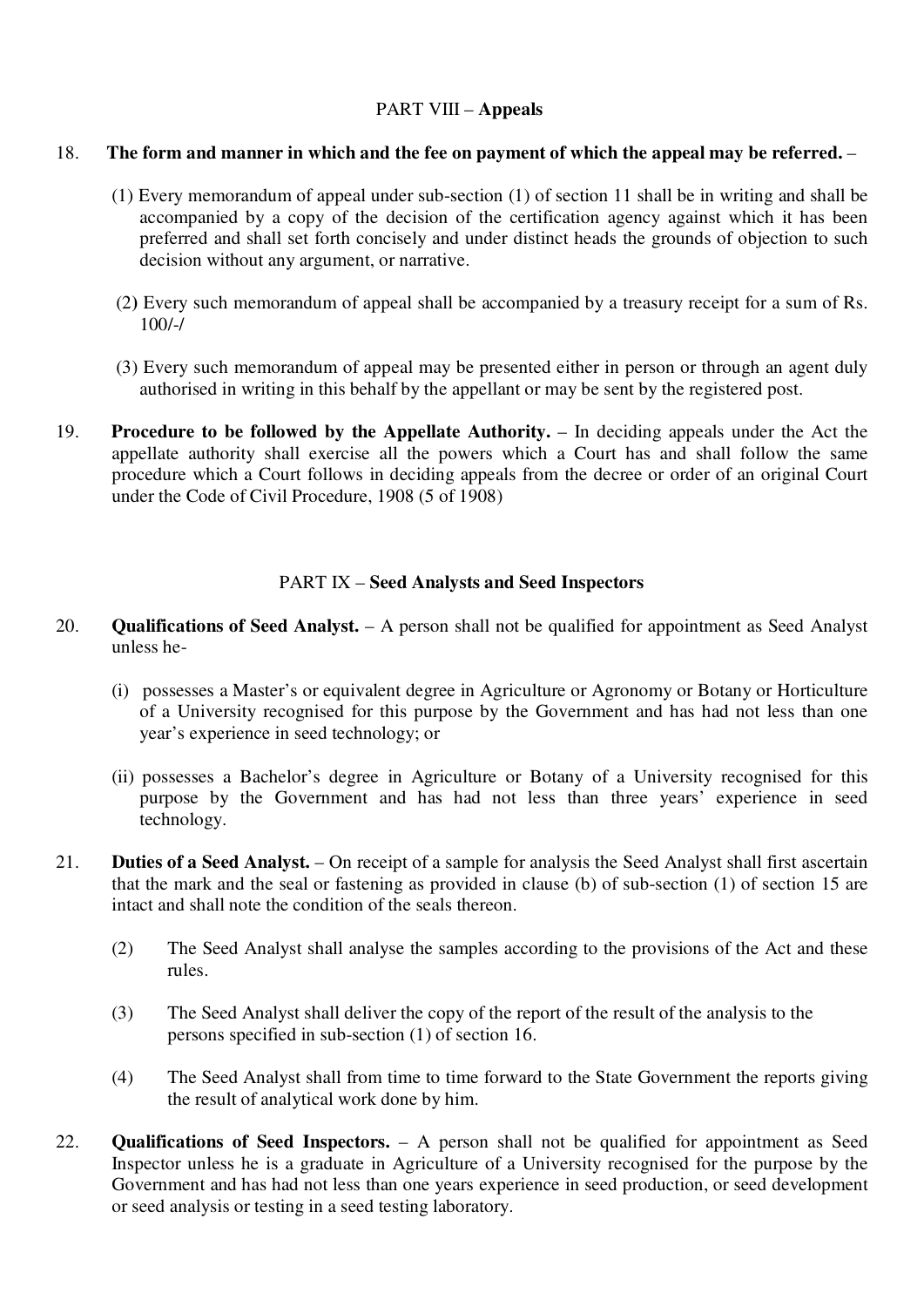#### PART VIII – **Appeals**

#### 18. **The form and manner in which and the fee on payment of which the appeal may be referred.** –

- (1) Every memorandum of appeal under sub-section (1) of section 11 shall be in writing and shall be accompanied by a copy of the decision of the certification agency against which it has been preferred and shall set forth concisely and under distinct heads the grounds of objection to such decision without any argument, or narrative.
- (2**)** Every such memorandum of appeal shall be accompanied by a treasury receipt for a sum of Rs. 100/-/
- (3) Every such memorandum of appeal may be presented either in person or through an agent duly authorised in writing in this behalf by the appellant or may be sent by the registered post.
- 19. **Procedure to be followed by the Appellate Authority.** In deciding appeals under the Act the appellate authority shall exercise all the powers which a Court has and shall follow the same procedure which a Court follows in deciding appeals from the decree or order of an original Court under the Code of Civil Procedure, 1908 (5 of 1908)

#### PART IX – **Seed Analysts and Seed Inspectors**

- 20. **Qualifications of Seed Analyst.** A person shall not be qualified for appointment as Seed Analyst unless he-
	- (i) possesses a Master's or equivalent degree in Agriculture or Agronomy or Botany or Horticulture of a University recognised for this purpose by the Government and has had not less than one year's experience in seed technology; or
	- (ii) possesses a Bachelor's degree in Agriculture or Botany of a University recognised for this purpose by the Government and has had not less than three years' experience in seed technology.
- 21. **Duties of a Seed Analyst.** On receipt of a sample for analysis the Seed Analyst shall first ascertain that the mark and the seal or fastening as provided in clause (b) of sub-section (1) of section 15 are intact and shall note the condition of the seals thereon.
	- (2) The Seed Analyst shall analyse the samples according to the provisions of the Act and these rules.
	- (3) The Seed Analyst shall deliver the copy of the report of the result of the analysis to the persons specified in sub-section (1) of section 16.
	- (4) The Seed Analyst shall from time to time forward to the State Government the reports giving the result of analytical work done by him.
- 22. **Qualifications of Seed Inspectors.** A person shall not be qualified for appointment as Seed Inspector unless he is a graduate in Agriculture of a University recognised for the purpose by the Government and has had not less than one years experience in seed production, or seed development or seed analysis or testing in a seed testing laboratory.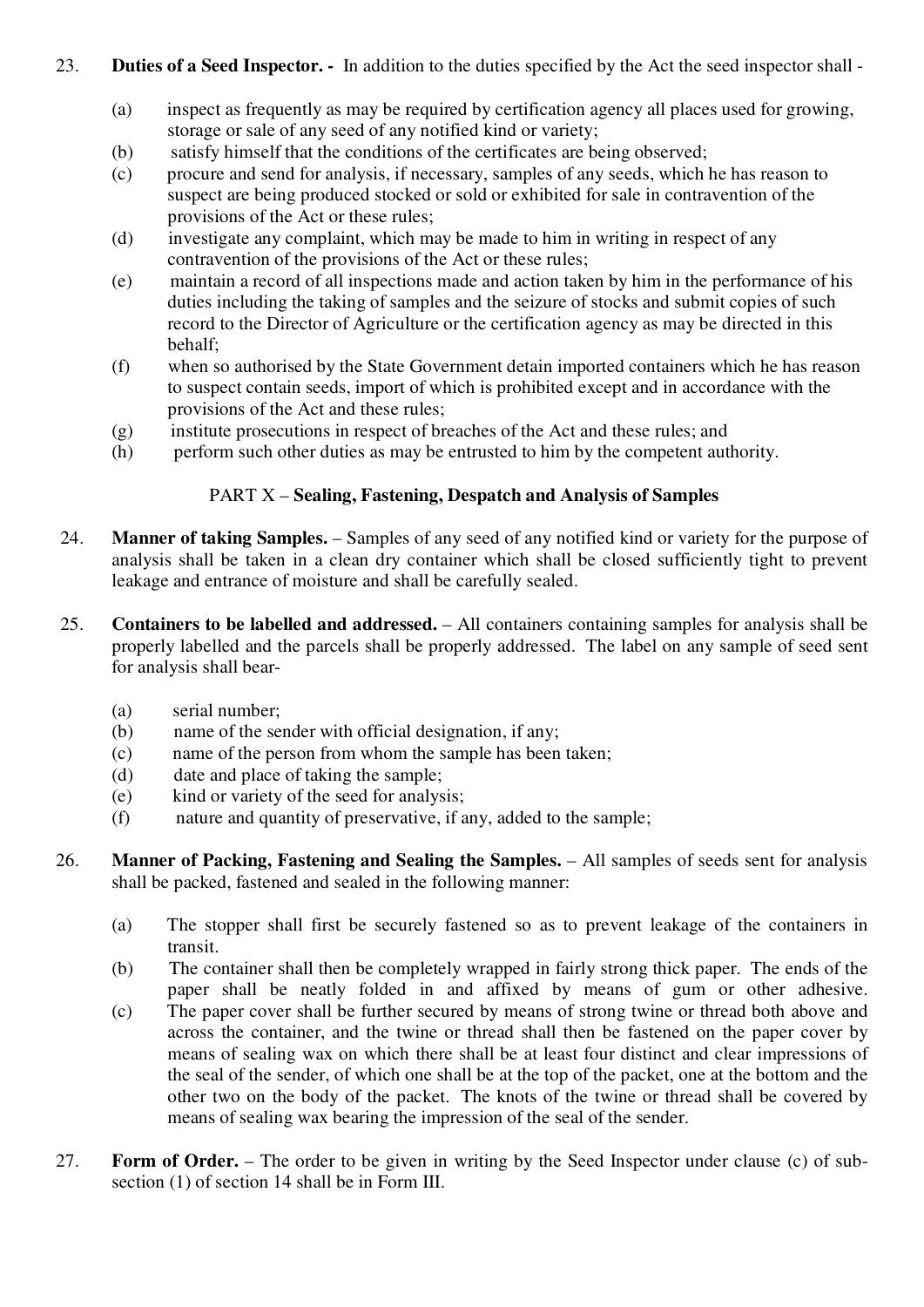#### 23. **Duties of a Seed Inspector. -** In addition to the duties specified by the Act the seed inspector shall -

- (a) inspect as frequently as may be required by certification agency all places used for growing, storage or sale of any seed of any notified kind or variety;
- (b) satisfy himself that the conditions of the certificates are being observed;
- (c) procure and send for analysis, if necessary, samples of any seeds, which he has reason to suspect are being produced stocked or sold or exhibited for sale in contravention of the provisions of the Act or these rules;
- (d) investigate any complaint, which may be made to him in writing in respect of any contravention of the provisions of the Act or these rules;
- (e) maintain a record of all inspections made and action taken by him in the performance of his duties including the taking of samples and the seizure of stocks and submit copies of such record to the Director of Agriculture or the certification agency as may be directed in this behalf;
- (f) when so authorised by the State Government detain imported containers which he has reason to suspect contain seeds, import of which is prohibited except and in accordance with the provisions of the Act and these rules;
- (g) institute prosecutions in respect of breaches of the Act and these rules; and
- (h) perform such other duties as may be entrusted to him by the competent authority.

#### PART X – **Sealing, Fastening, Despatch and Analysis of Samples**

- 24. **Manner of taking Samples.** Samples of any seed of any notified kind or variety for the purpose of analysis shall be taken in a clean dry container which shall be closed sufficiently tight to prevent leakage and entrance of moisture and shall be carefully sealed.
- 25. **Containers to be labelled and addressed.** All containers containing samples for analysis shall be properly labelled and the parcels shall be properly addressed. The label on any sample of seed sent for analysis shall bear-
	- (a) serial number;
	- (b) name of the sender with official designation, if any;
	- (c) name of the person from whom the sample has been taken;
	- (d) date and place of taking the sample;
	- (e) kind or variety of the seed for analysis;
	- (f) nature and quantity of preservative, if any, added to the sample;
- 26. **Manner of Packing, Fastening and Sealing the Samples.** All samples of seeds sent for analysis shall be packed, fastened and sealed in the following manner:
	- (a) The stopper shall first be securely fastened so as to prevent leakage of the containers in transit.
	- (b) The container shall then be completely wrapped in fairly strong thick paper. The ends of the paper shall be neatly folded in and affixed by means of gum or other adhesive.
	- (c) The paper cover shall be further secured by means of strong twine or thread both above and across the container, and the twine or thread shall then be fastened on the paper cover by means of sealing wax on which there shall be at least four distinct and clear impressions of the seal of the sender, of which one shall be at the top of the packet, one at the bottom and the other two on the body of the packet. The knots of the twine or thread shall be covered by means of sealing wax bearing the impression of the seal of the sender.
- 27. **Form of Order.** The order to be given in writing by the Seed Inspector under clause (c) of subsection (1) of section 14 shall be in Form III.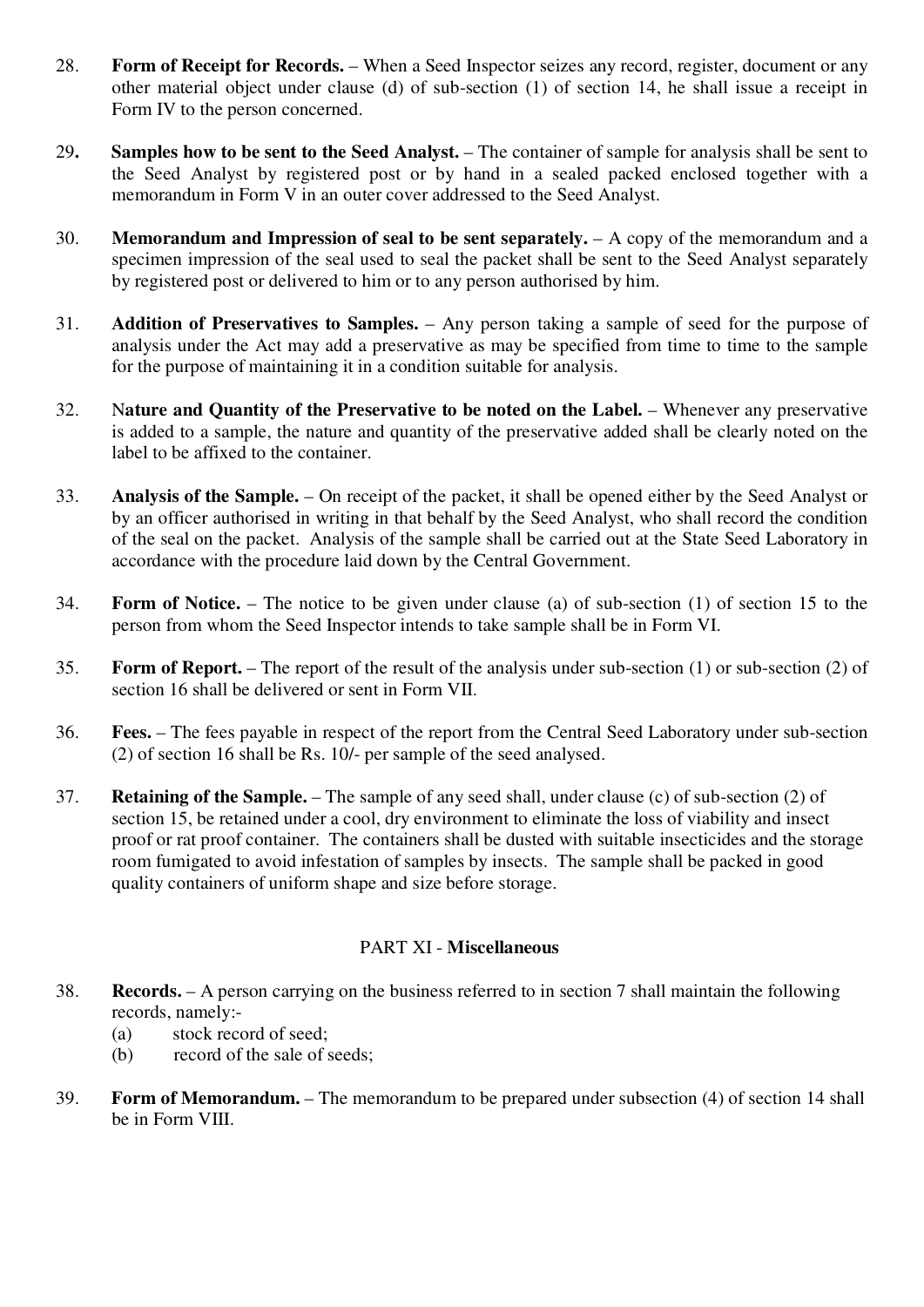- 28. **Form of Receipt for Records.** When a Seed Inspector seizes any record, register, document or any other material object under clause (d) of sub-section (1) of section 14, he shall issue a receipt in Form IV to the person concerned.
- 29**. Samples how to be sent to the Seed Analyst.** The container of sample for analysis shall be sent to the Seed Analyst by registered post or by hand in a sealed packed enclosed together with a memorandum in Form V in an outer cover addressed to the Seed Analyst.
- 30. **Memorandum and Impression of seal to be sent separately.** A copy of the memorandum and a specimen impression of the seal used to seal the packet shall be sent to the Seed Analyst separately by registered post or delivered to him or to any person authorised by him.
- 31. **Addition of Preservatives to Samples.** Any person taking a sample of seed for the purpose of analysis under the Act may add a preservative as may be specified from time to time to the sample for the purpose of maintaining it in a condition suitable for analysis.
- 32. N**ature and Quantity of the Preservative to be noted on the Label.** Whenever any preservative is added to a sample, the nature and quantity of the preservative added shall be clearly noted on the label to be affixed to the container.
- 33. **Analysis of the Sample.** On receipt of the packet, it shall be opened either by the Seed Analyst or by an officer authorised in writing in that behalf by the Seed Analyst, who shall record the condition of the seal on the packet. Analysis of the sample shall be carried out at the State Seed Laboratory in accordance with the procedure laid down by the Central Government.
- 34. **Form of Notice.** The notice to be given under clause (a) of sub-section (1) of section 15 to the person from whom the Seed Inspector intends to take sample shall be in Form VI.
- 35. **Form of Report.** The report of the result of the analysis under sub-section (1) or sub-section (2) of section 16 shall be delivered or sent in Form VII.
- 36. **Fees.** The fees payable in respect of the report from the Central Seed Laboratory under sub-section (2) of section 16 shall be Rs. 10/- per sample of the seed analysed.
- 37. **Retaining of the Sample.** The sample of any seed shall, under clause (c) of sub-section (2) of section 15, be retained under a cool, dry environment to eliminate the loss of viability and insect proof or rat proof container. The containers shall be dusted with suitable insecticides and the storage room fumigated to avoid infestation of samples by insects. The sample shall be packed in good quality containers of uniform shape and size before storage.

#### PART XI - **Miscellaneous**

- 38. **Records.** A person carrying on the business referred to in section 7 shall maintain the following records, namely:-
	- (a) stock record of seed;
	- (b) record of the sale of seeds;
- 39. **Form of Memorandum.** The memorandum to be prepared under subsection (4) of section 14 shall be in Form VIII.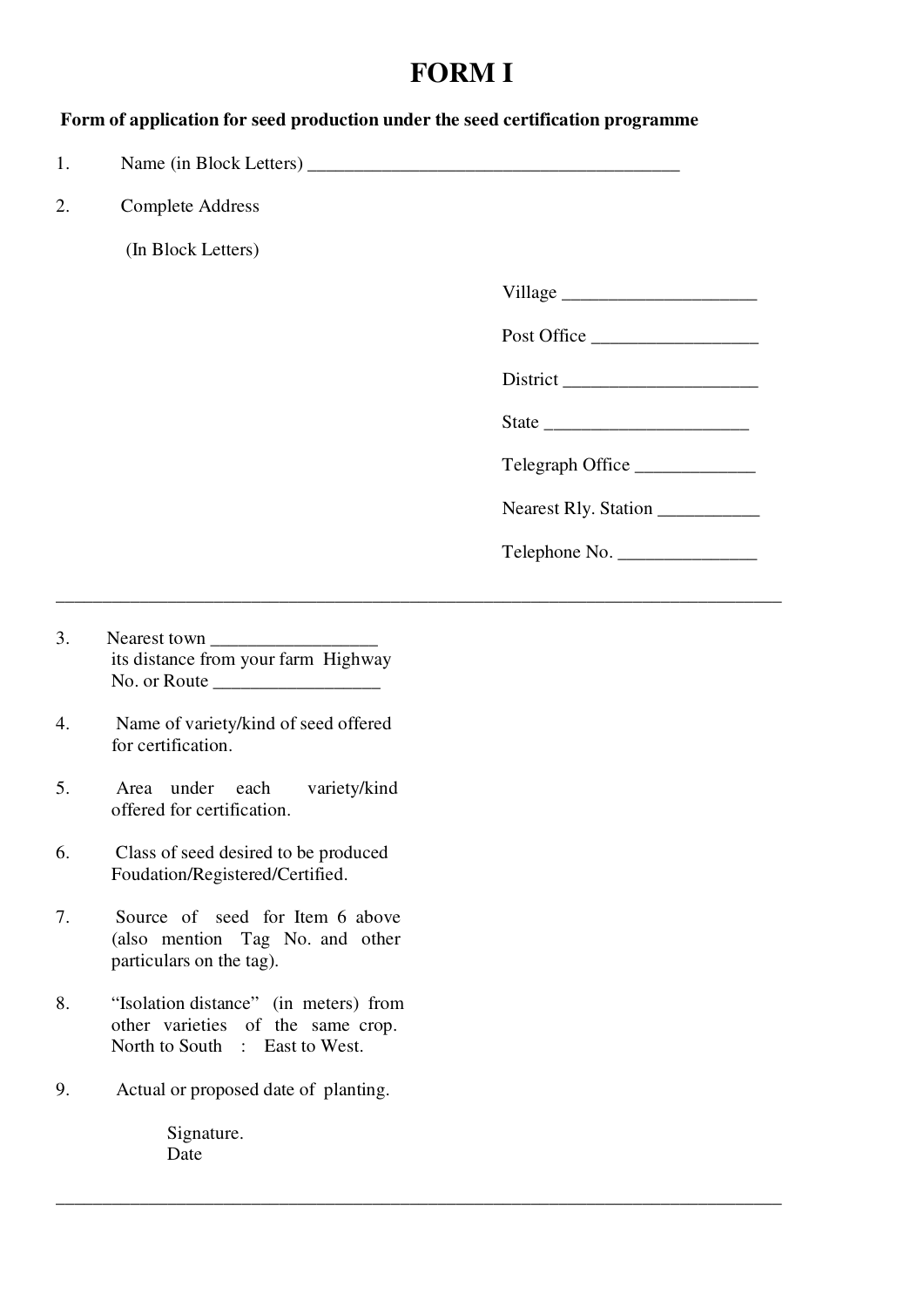### **FORM I**

#### **Form of application for seed production under the seed certification programme**

\_\_\_\_\_\_\_\_\_\_\_\_\_\_\_\_\_\_\_\_\_\_\_\_\_\_\_\_\_\_\_\_\_\_\_\_\_\_\_\_\_\_\_\_\_\_\_\_\_\_\_\_\_\_\_\_\_\_\_\_\_\_\_\_\_\_\_\_\_\_\_\_\_\_\_\_\_\_

\_\_\_\_\_\_\_\_\_\_\_\_\_\_\_\_\_\_\_\_\_\_\_\_\_\_\_\_\_\_\_\_\_\_\_\_\_\_\_\_\_\_\_\_\_\_\_\_\_\_\_\_\_\_\_\_\_\_\_\_\_\_\_\_\_\_\_\_\_\_\_\_\_\_\_\_\_\_

1. Name (in Block Letters)

2. Complete Address

(In Block Letters)

| illage<br>v |  |
|-------------|--|
|             |  |

Post Office

District \_\_\_\_\_\_\_\_\_\_\_\_\_\_\_\_\_\_\_\_\_

|--|

Telegraph Office

Nearest Rly. Station

|  | Telephone No. |
|--|---------------|
|--|---------------|

- 3. Nearest town its distance from your farm Highway No. or Route
- 4. Name of variety/kind of seed offered for certification.
- 5. Area under each variety/kind offered for certification.
- 6. Class of seed desired to be produced Foudation/Registered/Certified.
- 7. Source of seed for Item 6 above (also mention Tag No. and other particulars on the tag).
- 8. "Isolation distance" (in meters) from other varieties of the same crop. North to South : East to West.
- 9. Actual or proposed date of planting.

 Signature. Date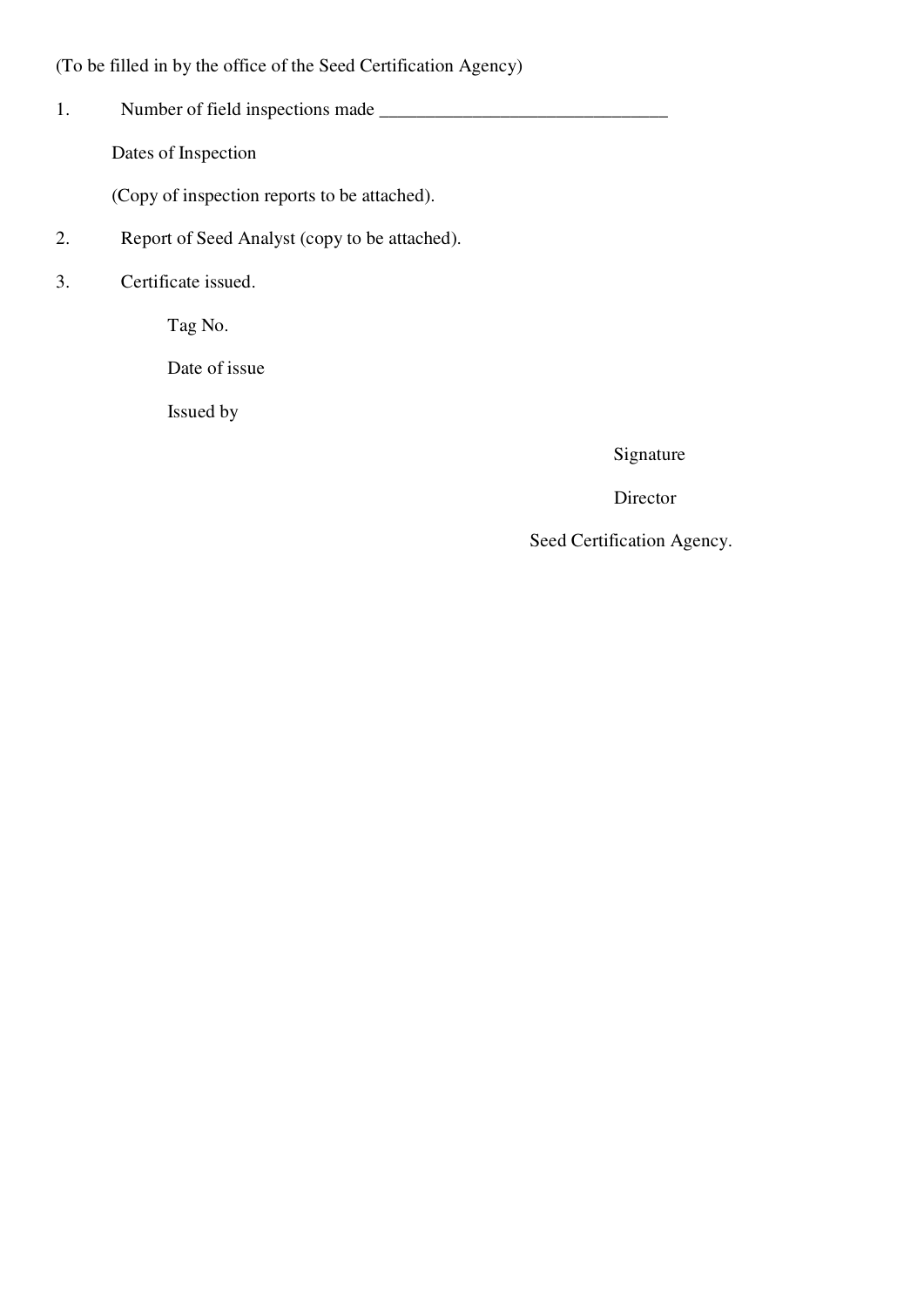(To be filled in by the office of the Seed Certification Agency)

1. Number of field inspections made \_\_\_\_\_\_\_\_\_\_\_\_\_\_\_\_\_\_\_\_\_\_\_\_\_\_\_\_\_\_\_

Dates of Inspection

(Copy of inspection reports to be attached).

- 2. Report of Seed Analyst (copy to be attached).
- 3. Certificate issued.

Tag No.

Date of issue

Issued by

Signature

Director

Seed Certification Agency.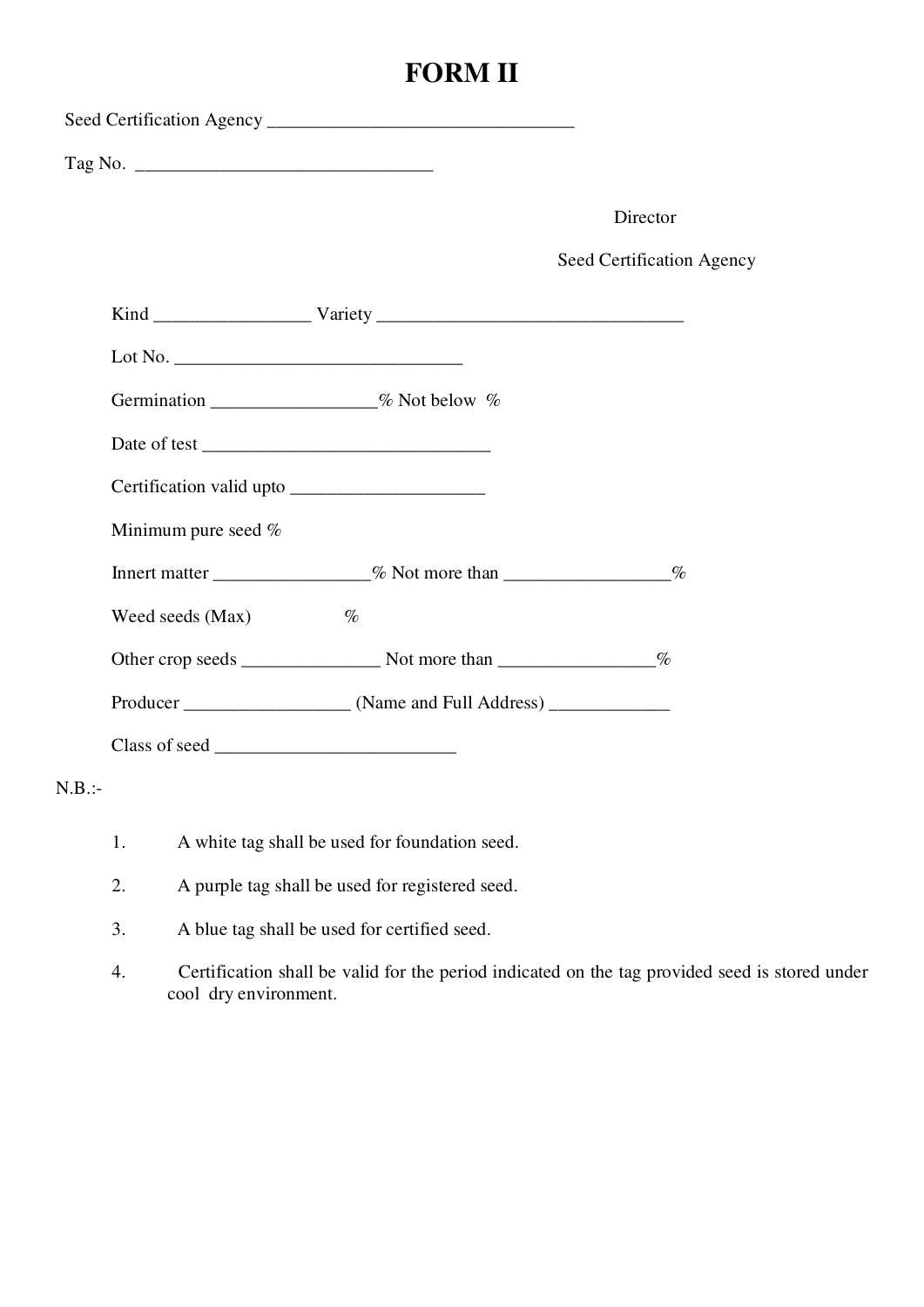# **FORM II**

|           |                                                                                                                               | Director                  |
|-----------|-------------------------------------------------------------------------------------------------------------------------------|---------------------------|
|           |                                                                                                                               | Seed Certification Agency |
|           |                                                                                                                               |                           |
|           |                                                                                                                               |                           |
|           | Germination ________________% Not below %                                                                                     |                           |
|           |                                                                                                                               |                           |
|           | Certification valid upto                                                                                                      |                           |
|           | Minimum pure seed %                                                                                                           |                           |
|           | Innert matter ________________% Not more than __________________%                                                             |                           |
|           | Weed seeds (Max)<br>$\%$                                                                                                      |                           |
|           |                                                                                                                               |                           |
|           |                                                                                                                               |                           |
|           |                                                                                                                               |                           |
| $N.B.$ :- |                                                                                                                               |                           |
|           | 1.<br>A white tag shall be used for foundation seed.                                                                          |                           |
|           | A purple tag shall be used for registered seed.<br>2.                                                                         |                           |
|           | A blue tag shall be used for certified seed.<br>3.                                                                            |                           |
|           | Certification shall be valid for the period indicated on the tag provided seed is stored under<br>4.<br>cool dry environment. |                           |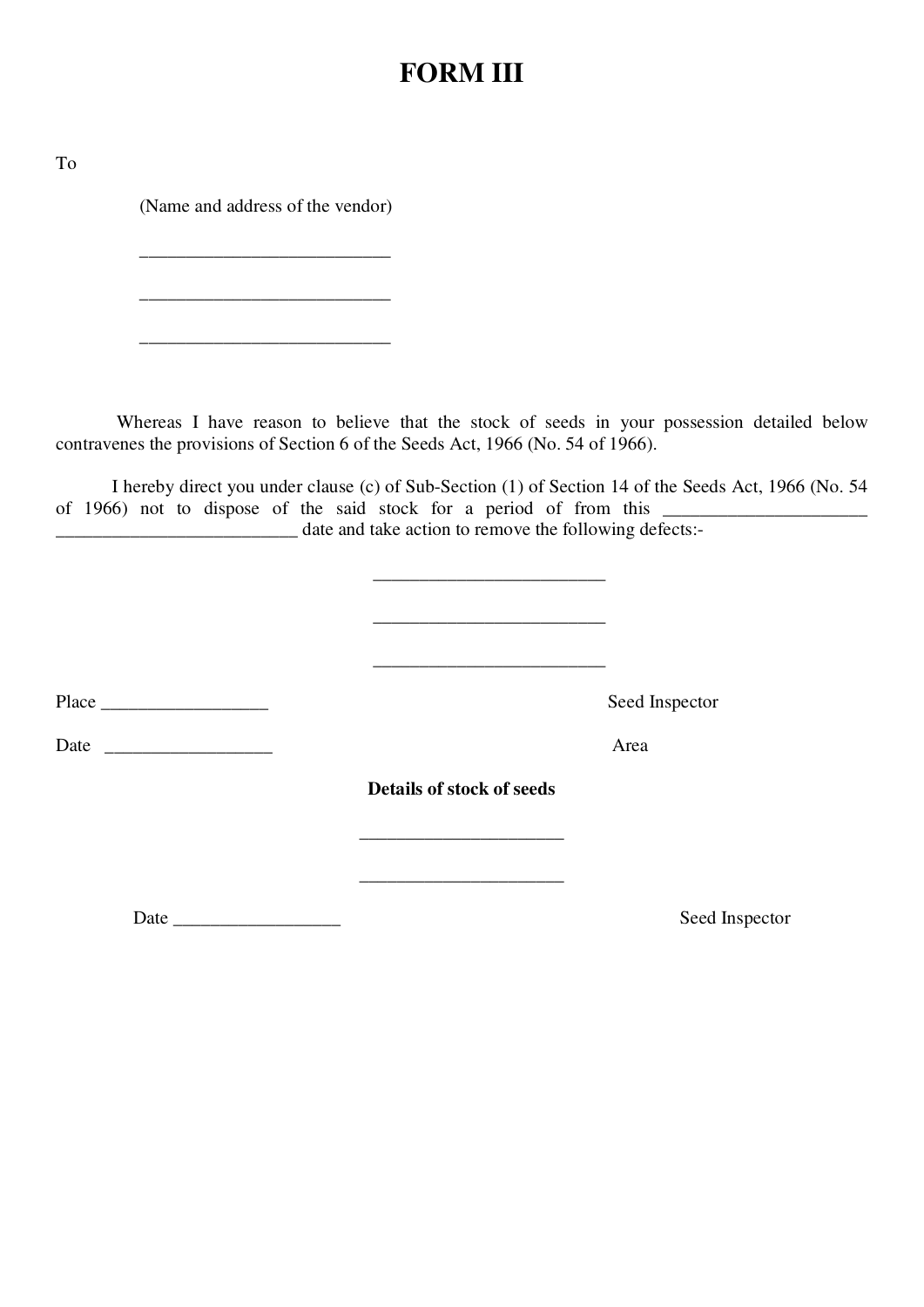### **FORM III**

To

(Name and address of the vendor)

 $\mathcal{L}=\{L_1,L_2,\ldots,L_{n-1}\}$ 

 $\frac{1}{2}$  ,  $\frac{1}{2}$  ,  $\frac{1}{2}$  ,  $\frac{1}{2}$  ,  $\frac{1}{2}$  ,  $\frac{1}{2}$  ,  $\frac{1}{2}$  ,  $\frac{1}{2}$  ,  $\frac{1}{2}$  ,  $\frac{1}{2}$  ,  $\frac{1}{2}$  ,  $\frac{1}{2}$  ,  $\frac{1}{2}$  ,  $\frac{1}{2}$  ,  $\frac{1}{2}$  ,  $\frac{1}{2}$  ,  $\frac{1}{2}$  ,  $\frac{1}{2}$  ,  $\frac{1$ 

 Whereas I have reason to believe that the stock of seeds in your possession detailed below contravenes the provisions of Section 6 of the Seeds Act, 1966 (No. 54 of 1966).

 I hereby direct you under clause (c) of Sub-Section (1) of Section 14 of the Seeds Act, 1966 (No. 54 of 1966) not to dispose of the said stock for a period of from this \_\_\_\_\_\_\_\_\_\_\_\_\_\_\_\_\_\_\_\_\_\_\_\_\_\_ date and take action to remove the following defects:-

|                           | Seed Inspector |
|---------------------------|----------------|
|                           | Area           |
| Details of stock of seeds |                |
|                           |                |
|                           | Seed Inspector |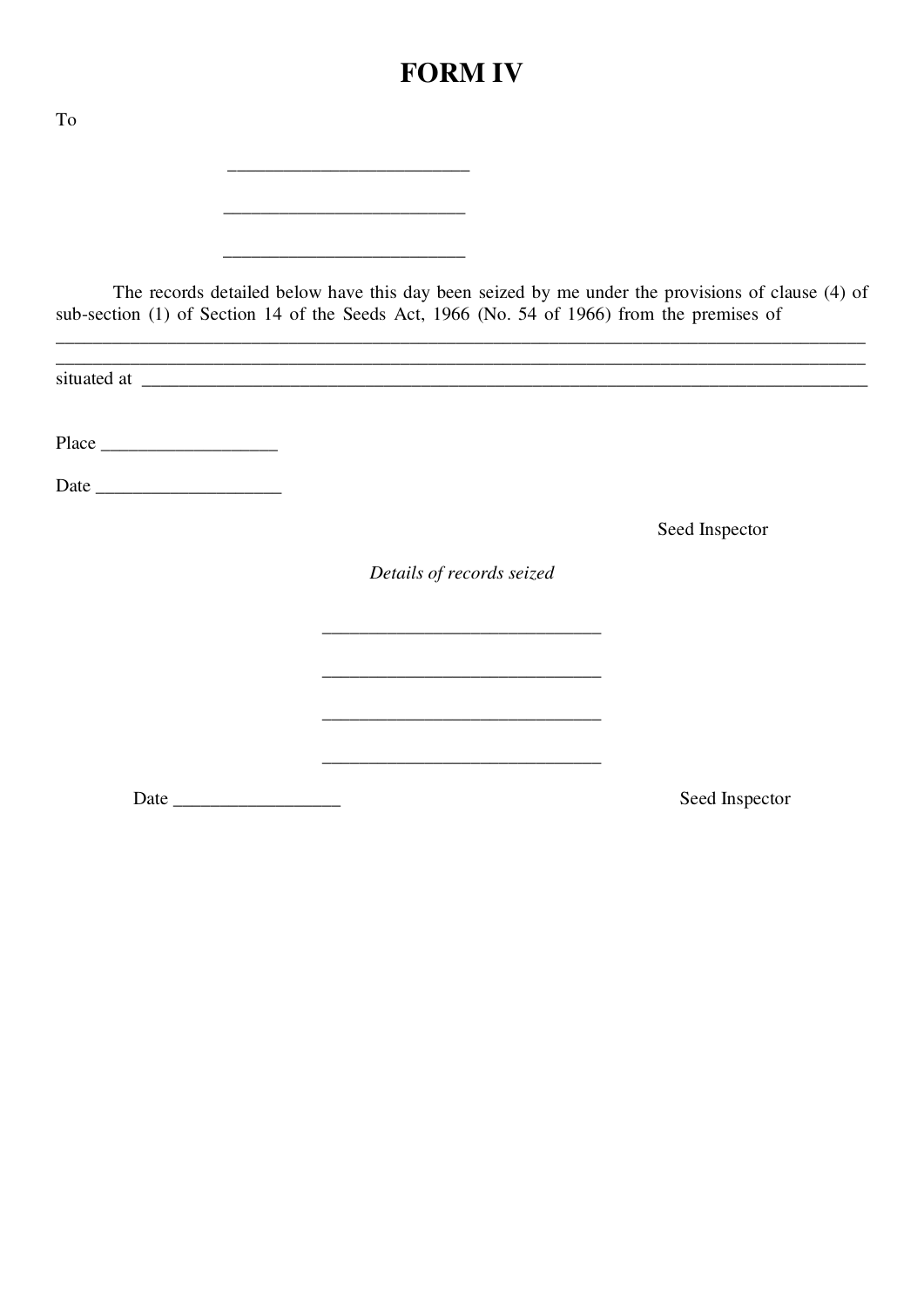# **FORM IV**

| To |                                                                                                                                                                                                                                                                                                                        |                |
|----|------------------------------------------------------------------------------------------------------------------------------------------------------------------------------------------------------------------------------------------------------------------------------------------------------------------------|----------------|
|    |                                                                                                                                                                                                                                                                                                                        |                |
|    |                                                                                                                                                                                                                                                                                                                        |                |
|    | <u> 1989 - Johann Barn, mars eta bat eta bat erroman erroman erroman ez erroman ez erroman ez erroman ez erroman</u><br>The records detailed below have this day been seized by me under the provisions of clause (4) of<br>sub-section (1) of Section 14 of the Seeds Act, 1966 (No. 54 of 1966) from the premises of |                |
|    |                                                                                                                                                                                                                                                                                                                        |                |
|    |                                                                                                                                                                                                                                                                                                                        |                |
|    |                                                                                                                                                                                                                                                                                                                        |                |
|    |                                                                                                                                                                                                                                                                                                                        | Seed Inspector |
|    | Details of records seized                                                                                                                                                                                                                                                                                              |                |
|    |                                                                                                                                                                                                                                                                                                                        |                |
|    | the control of the control of the control of the control of the control of the control of                                                                                                                                                                                                                              |                |
|    |                                                                                                                                                                                                                                                                                                                        |                |
|    |                                                                                                                                                                                                                                                                                                                        | Seed Inspector |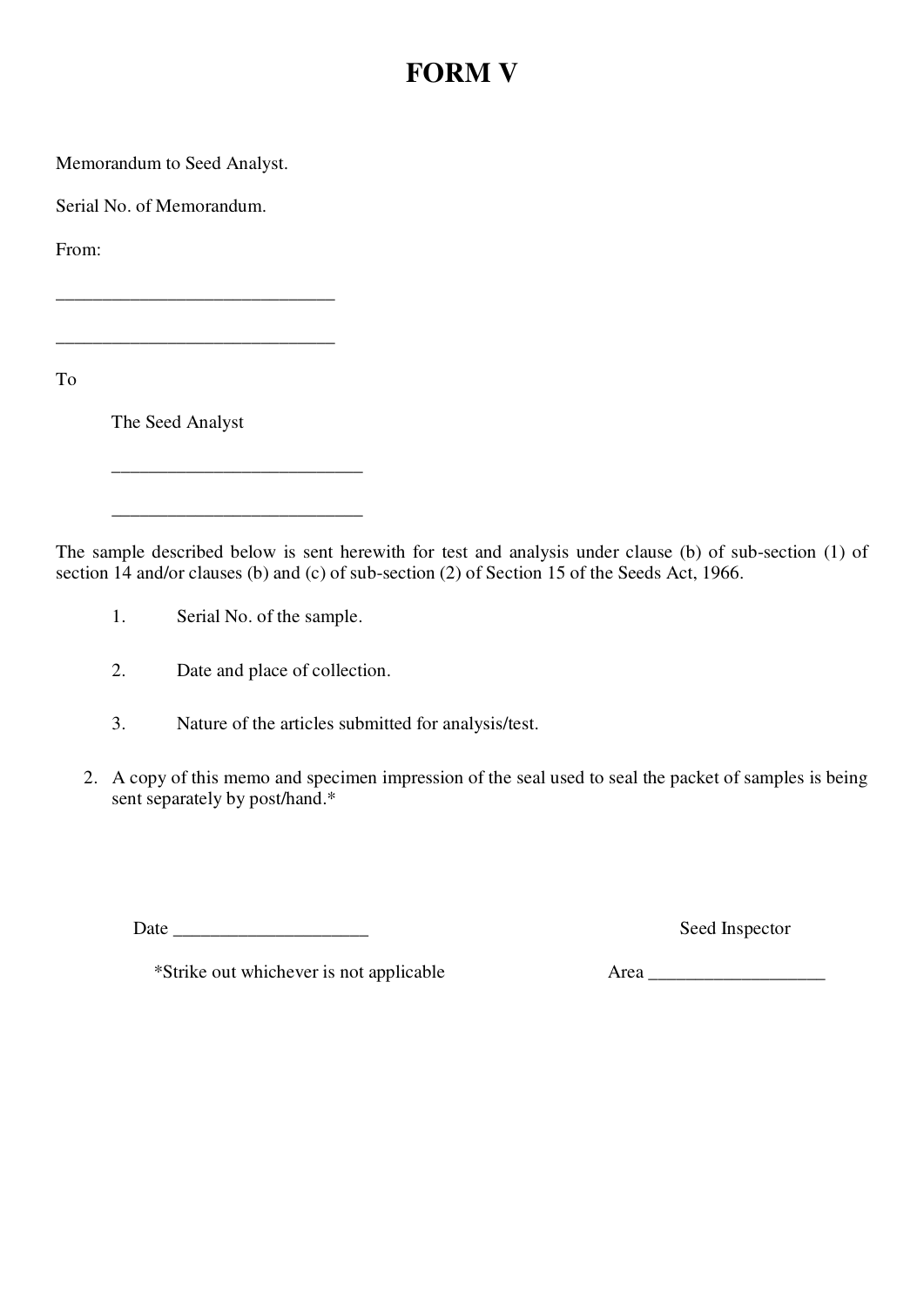### **FORM V**

Memorandum to Seed Analyst.

Serial No. of Memorandum.

From:

To

The Seed Analyst

 $\frac{1}{2}$  ,  $\frac{1}{2}$  ,  $\frac{1}{2}$  ,  $\frac{1}{2}$  ,  $\frac{1}{2}$  ,  $\frac{1}{2}$  ,  $\frac{1}{2}$  ,  $\frac{1}{2}$  ,  $\frac{1}{2}$  ,  $\frac{1}{2}$  ,  $\frac{1}{2}$  ,  $\frac{1}{2}$  ,  $\frac{1}{2}$  ,  $\frac{1}{2}$  ,  $\frac{1}{2}$  ,  $\frac{1}{2}$  ,  $\frac{1}{2}$  ,  $\frac{1}{2}$  ,  $\frac{1$ 

 $\overline{\phantom{a}}$  , and the set of the set of the set of the set of the set of the set of the set of the set of the set of the set of the set of the set of the set of the set of the set of the set of the set of the set of the s

\_\_\_\_\_\_\_\_\_\_\_\_\_\_\_\_\_\_\_\_\_\_\_\_\_\_\_\_\_\_

The sample described below is sent herewith for test and analysis under clause (b) of sub-section (1) of section 14 and/or clauses (b) and (c) of sub-section (2) of Section 15 of the Seeds Act, 1966.

- 1. Serial No. of the sample.
- 2. Date and place of collection.
- 3. Nature of the articles submitted for analysis/test.
- 2. A copy of this memo and specimen impression of the seal used to seal the packet of samples is being sent separately by post/hand.\*

Date \_\_\_\_\_\_\_\_\_\_\_\_\_\_\_\_\_\_\_\_\_ Seed Inspector

\*Strike out whichever is not applicable Area \_\_\_\_\_\_\_\_\_\_\_\_\_\_\_\_\_\_\_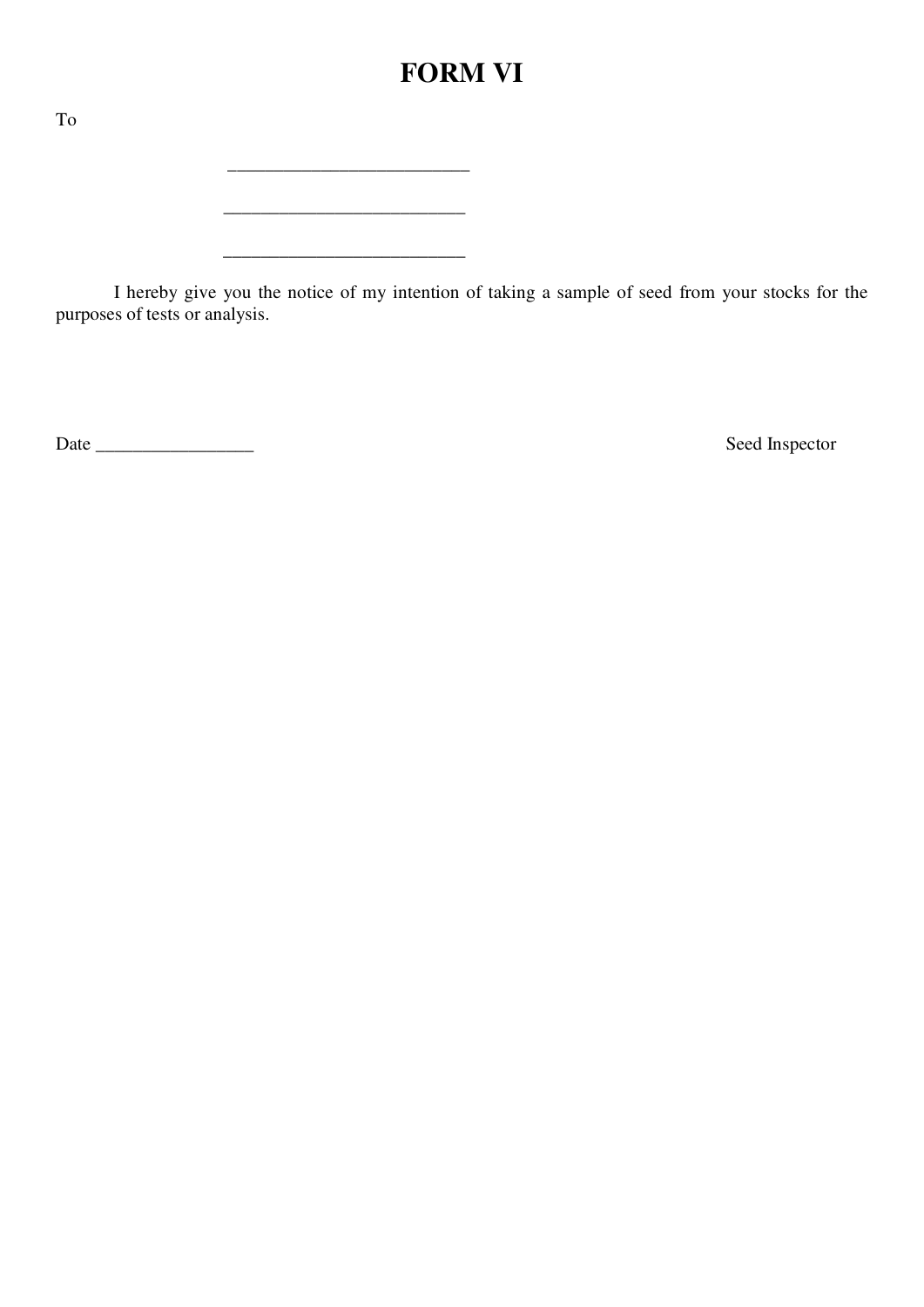### **FORM VI**

 $\mathcal{L}_\text{max}$ 

\_\_\_\_\_\_\_\_\_\_\_\_\_\_\_\_\_\_\_\_\_\_\_\_\_\_

\_\_\_\_\_\_\_\_\_\_\_\_\_\_\_\_\_\_\_\_\_\_\_\_\_\_

 I hereby give you the notice of my intention of taking a sample of seed from your stocks for the purposes of tests or analysis.

Date \_\_\_\_\_\_\_\_\_\_\_\_\_\_\_\_\_ Seed Inspector

To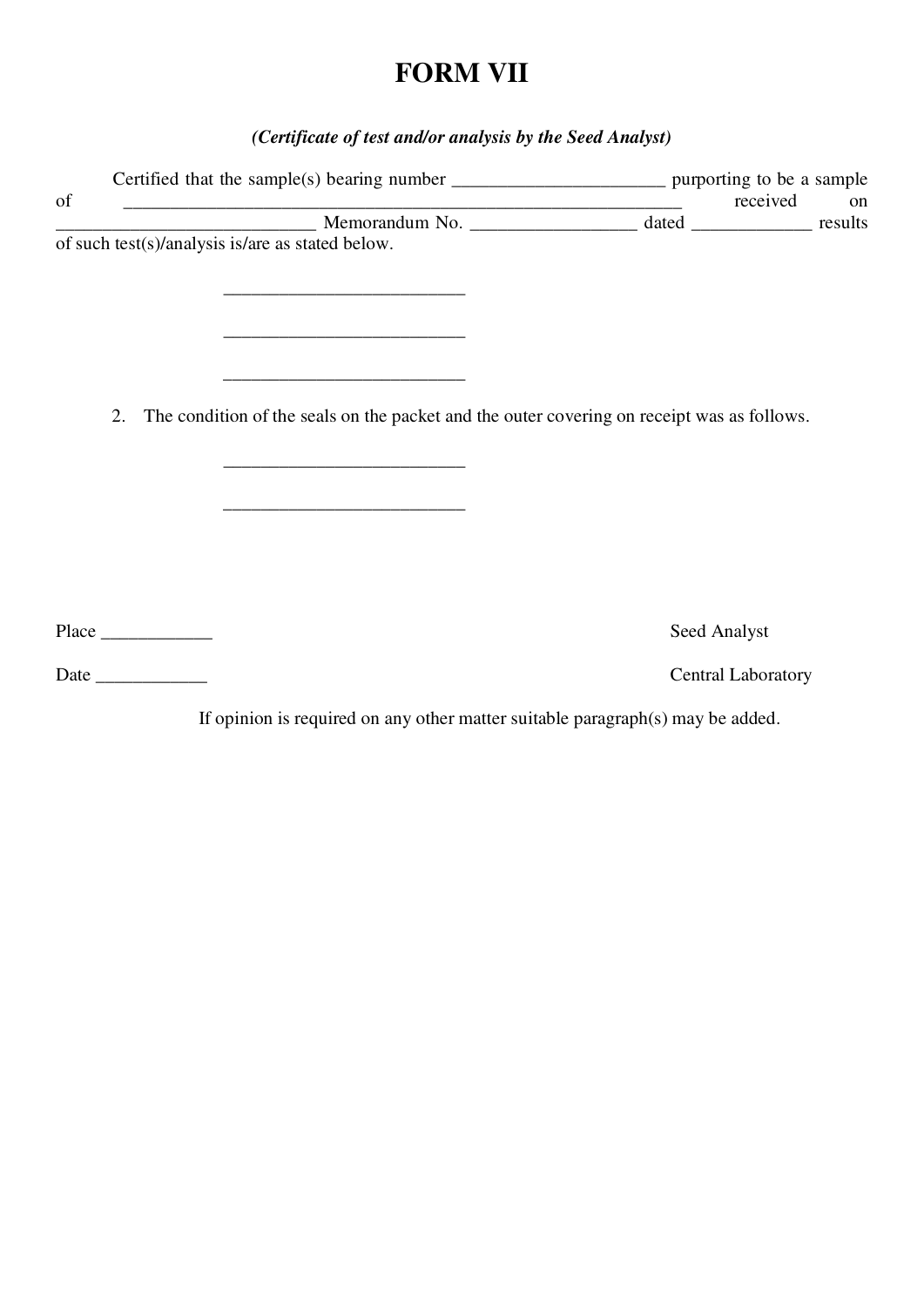## **FORM VII**

### *(Certificate of test and/or analysis by the Seed Analyst)*

| of | <u> 1989 - Johann Stoff, amerikansk politiker (d. 1989)</u>                                   | received                  | on |
|----|-----------------------------------------------------------------------------------------------|---------------------------|----|
|    | Memorandum No. 41. dated 1918 mesults                                                         |                           |    |
|    | of such test(s)/analysis is/are as stated below.                                              |                           |    |
|    |                                                                                               |                           |    |
|    | the control of the control of the control of the control of the control of the control of     |                           |    |
|    |                                                                                               |                           |    |
|    |                                                                                               |                           |    |
|    | the control of the control of the control of the control of the control of the control of     |                           |    |
|    |                                                                                               |                           |    |
|    | 2. The condition of the seals on the packet and the outer covering on receipt was as follows. |                           |    |
|    |                                                                                               |                           |    |
|    |                                                                                               |                           |    |
|    |                                                                                               |                           |    |
|    | the control of the control of the control of the control of the control of the control of     |                           |    |
|    |                                                                                               |                           |    |
|    |                                                                                               |                           |    |
|    |                                                                                               |                           |    |
|    |                                                                                               |                           |    |
|    |                                                                                               | Seed Analyst              |    |
|    |                                                                                               |                           |    |
|    |                                                                                               | <b>Central Laboratory</b> |    |

If opinion is required on any other matter suitable paragraph(s) may be added.